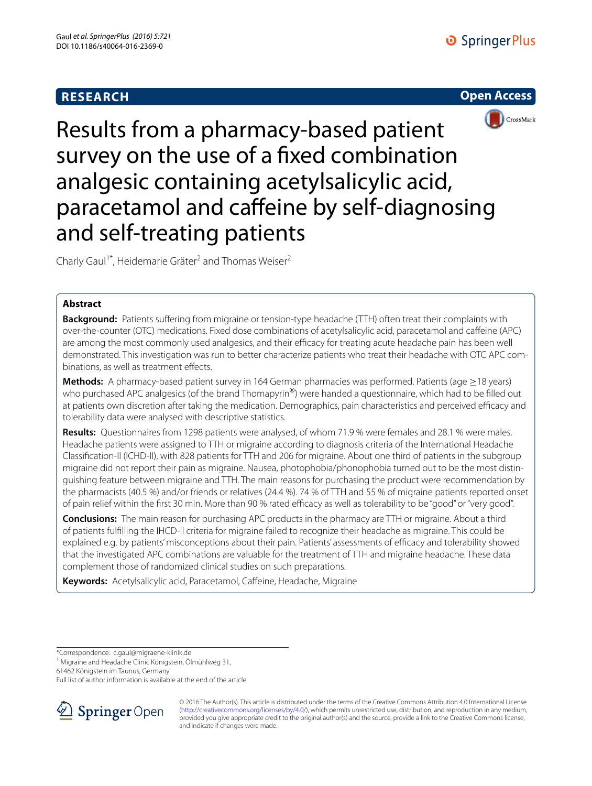# **RESEARCH**





Results from a pharmacy-based patient survey on the use of a fixed combination analgesic containing acetylsalicylic acid, paracetamol and caffeine by self-diagnosing and self-treating patients

Charly Gaul<sup>1\*</sup>, Heidemarie Gräter<sup>2</sup> and Thomas Weiser<sup>2</sup>

## **Abstract**

**Background:** Patients suffering from migraine or tension-type headache (TTH) often treat their complaints with over-the-counter (OTC) medications. Fixed dose combinations of acetylsalicylic acid, paracetamol and caffeine (APC) are among the most commonly used analgesics, and their efficacy for treating acute headache pain has been well demonstrated. This investigation was run to better characterize patients who treat their headache with OTC APC combinations, as well as treatment effects.

**Methods:** A pharmacy-based patient survey in 164 German pharmacies was performed. Patients (age ≥18 years) who purchased APC analgesics (of the brand Thomapyrin®) were handed a questionnaire, which had to be filled out at patients own discretion after taking the medication. Demographics, pain characteristics and perceived efficacy and tolerability data were analysed with descriptive statistics.

**Results:** Questionnaires from 1298 patients were analysed, of whom 71.9 % were females and 28.1 % were males. Headache patients were assigned to TTH or migraine according to diagnosis criteria of the International Headache Classification-II (ICHD-II), with 828 patients for TTH and 206 for migraine. About one third of patients in the subgroup migraine did not report their pain as migraine. Nausea, photophobia/phonophobia turned out to be the most distinguishing feature between migraine and TTH. The main reasons for purchasing the product were recommendation by the pharmacists (40.5 %) and/or friends or relatives (24.4 %). 74 % of TTH and 55 % of migraine patients reported onset of pain relief within the first 30 min. More than 90 % rated efficacy as well as tolerability to be "good" or "very good".

**Conclusions:** The main reason for purchasing APC products in the pharmacy are TTH or migraine. About a third of patients fulfilling the IHCD-II criteria for migraine failed to recognize their headache as migraine. This could be explained e.g. by patients' misconceptions about their pain. Patients' assessments of efficacy and tolerability showed that the investigated APC combinations are valuable for the treatment of TTH and migraine headache. These data complement those of randomized clinical studies on such preparations.

**Keywords:** Acetylsalicylic acid, Paracetamol, Caffeine, Headache, Migraine

\*Correspondence: c.gaul@migraene-klinik.de 1

61462 Königstein im Taunus, Germany

Full list of author information is available at the end of the article



© 2016 The Author(s). This article is distributed under the terms of the Creative Commons Attribution 4.0 International License [\(http://creativecommons.org/licenses/by/4.0/\)](http://creativecommons.org/licenses/by/4.0/), which permits unrestricted use, distribution, and reproduction in any medium, provided you give appropriate credit to the original author(s) and the source, provide a link to the Creative Commons license, and indicate if changes were made.

Migraine and Headache Clinic Königstein, Ölmühlweg 31,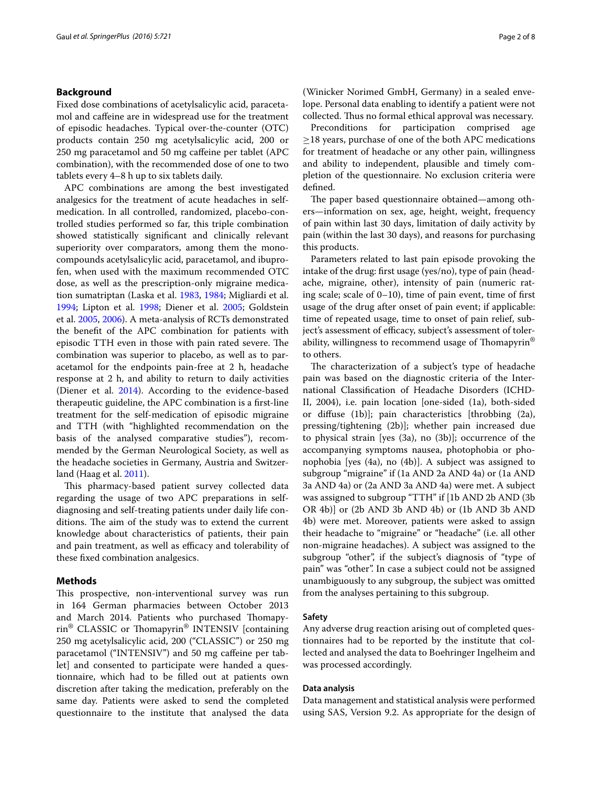## **Background**

Fixed dose combinations of acetylsalicylic acid, paracetamol and caffeine are in widespread use for the treatment of episodic headaches. Typical over-the-counter (OTC) products contain 250 mg acetylsalicylic acid, 200 or 250 mg paracetamol and 50 mg caffeine per tablet (APC combination), with the recommended dose of one to two tablets every 4–8 h up to six tablets daily.

APC combinations are among the best investigated analgesics for the treatment of acute headaches in selfmedication. In all controlled, randomized, placebo-controlled studies performed so far, this triple combination showed statistically significant and clinically relevant superiority over comparators, among them the monocompounds acetylsalicylic acid, paracetamol, and ibuprofen, when used with the maximum recommended OTC dose, as well as the prescription-only migraine medication sumatriptan (Laska et al. [1983](#page-7-0), [1984](#page-7-1); Migliardi et al. [1994](#page-7-2); Lipton et al. [1998;](#page-7-3) Diener et al. [2005;](#page-7-4) Goldstein et al. [2005](#page-7-5), [2006\)](#page-7-6). A meta-analysis of RCTs demonstrated the benefit of the APC combination for patients with episodic TTH even in those with pain rated severe. The combination was superior to placebo, as well as to paracetamol for the endpoints pain-free at 2 h, headache response at 2 h, and ability to return to daily activities (Diener et al. [2014\)](#page-7-7). According to the evidence-based therapeutic guideline, the APC combination is a first-line treatment for the self-medication of episodic migraine and TTH (with "highlighted recommendation on the basis of the analysed comparative studies"), recommended by the German Neurological Society, as well as the headache societies in Germany, Austria and Switzerland (Haag et al. [2011\)](#page-7-8).

This pharmacy-based patient survey collected data regarding the usage of two APC preparations in selfdiagnosing and self-treating patients under daily life conditions. The aim of the study was to extend the current knowledge about characteristics of patients, their pain and pain treatment, as well as efficacy and tolerability of these fixed combination analgesics.

## **Methods**

This prospective, non-interventional survey was run in 164 German pharmacies between October 2013 and March 2014. Patients who purchased Thomapyrin® CLASSIC or Thomapyrin® INTENSIV [containing 250 mg acetylsalicylic acid, 200 ("CLASSIC") or 250 mg paracetamol ("INTENSIV") and 50 mg caffeine per tablet] and consented to participate were handed a questionnaire, which had to be filled out at patients own discretion after taking the medication, preferably on the same day. Patients were asked to send the completed questionnaire to the institute that analysed the data

(Winicker Norimed GmbH, Germany) in a sealed envelope. Personal data enabling to identify a patient were not collected. Thus no formal ethical approval was necessary.

Preconditions for participation comprised age  $\geq$ 18 years, purchase of one of the both APC medications for treatment of headache or any other pain, willingness and ability to independent, plausible and timely completion of the questionnaire. No exclusion criteria were defined.

The paper based questionnaire obtained—among others—information on sex, age, height, weight, frequency of pain within last 30 days, limitation of daily activity by pain (within the last 30 days), and reasons for purchasing this products.

Parameters related to last pain episode provoking the intake of the drug: first usage (yes/no), type of pain (headache, migraine, other), intensity of pain (numeric rating scale; scale of 0–10), time of pain event, time of first usage of the drug after onset of pain event; if applicable: time of repeated usage, time to onset of pain relief, subject's assessment of efficacy, subject's assessment of tolerability, willingness to recommend usage of Thomapyrin<sup>®</sup> to others.

The characterization of a subject's type of headache pain was based on the diagnostic criteria of the International Classification of Headache Disorders (ICHD-II, 2004), i.e. pain location [one-sided (1a), both-sided or diffuse (1b)]; pain characteristics [throbbing (2a), pressing/tightening (2b)]; whether pain increased due to physical strain [yes (3a), no (3b)]; occurrence of the accompanying symptoms nausea, photophobia or phonophobia [yes (4a), no (4b)]. A subject was assigned to subgroup "migraine" if (1a AND 2a AND 4a) or (1a AND 3a AND 4a) or (2a AND 3a AND 4a) were met. A subject was assigned to subgroup "TTH" if [1b AND 2b AND (3b OR 4b)] or (2b AND 3b AND 4b) or (1b AND 3b AND 4b) were met. Moreover, patients were asked to assign their headache to "migraine" or "headache" (i.e. all other non-migraine headaches). A subject was assigned to the subgroup "other", if the subject's diagnosis of "type of pain" was "other". In case a subject could not be assigned unambiguously to any subgroup, the subject was omitted from the analyses pertaining to this subgroup.

### **Safety**

Any adverse drug reaction arising out of completed questionnaires had to be reported by the institute that collected and analysed the data to Boehringer Ingelheim and was processed accordingly.

### **Data analysis**

Data management and statistical analysis were performed using SAS, Version 9.2. As appropriate for the design of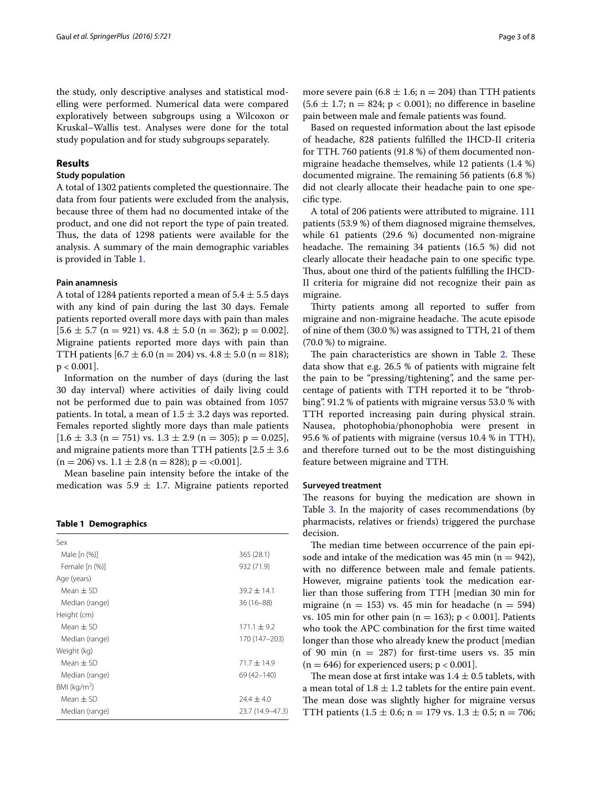the study, only descriptive analyses and statistical modelling were performed. Numerical data were compared exploratively between subgroups using a Wilcoxon or Kruskal–Wallis test. Analyses were done for the total study population and for study subgroups separately.

## **Results**

### **Study population**

A total of 1302 patients completed the questionnaire. The data from four patients were excluded from the analysis, because three of them had no documented intake of the product, and one did not report the type of pain treated. Thus, the data of 1298 patients were available for the analysis. A summary of the main demographic variables is provided in Table [1](#page-2-0).

## **Pain anamnesis**

A total of 1284 patients reported a mean of  $5.4 \pm 5.5$  days with any kind of pain during the last 30 days. Female patients reported overall more days with pain than males  $[5.6 \pm 5.7 \; (n = 921) \; \text{vs. } 4.8 \pm 5.0 \; (n = 362); \; p = 0.002].$ Migraine patients reported more days with pain than TTH patients  $[6.7 \pm 6.0 \text{ (n = 204) vs. } 4.8 \pm 5.0 \text{ (n = 818)};$  $p < 0.001$ .

Information on the number of days (during the last 30 day interval) where activities of daily living could not be performed due to pain was obtained from 1057 patients. In total, a mean of  $1.5 \pm 3.2$  days was reported. Females reported slightly more days than male patients  $[1.6 \pm 3.3 \text{ (n = 751) vs. } 1.3 \pm 2.9 \text{ (n = 305); p = 0.025]},$ and migraine patients more than TTH patients  $[2.5 \pm 3.6]$  $(n = 206)$  vs.  $1.1 \pm 2.8$   $(n = 828)$ ;  $p = <0.001$ ].

Mean baseline pain intensity before the intake of the medication was 5.9  $\pm$  1.7. Migraine patients reported

<span id="page-2-0"></span>

|  | <b>Table 1 Demographics</b> |  |
|--|-----------------------------|--|
|--|-----------------------------|--|

| Sex             |                  |
|-----------------|------------------|
| Male [n (%)]    | 365 (28.1)       |
| Female [n (%)]  | 932 (71.9)       |
| Age (years)     |                  |
| Mean $\pm$ SD   | $39.2 \pm 14.1$  |
| Median (range)  | $36(16 - 88)$    |
| Height (cm)     |                  |
| Mean $\pm$ SD   | $171.1 + 9.2$    |
| Median (range)  | 170 (147–203)    |
| Weight (kg)     |                  |
| Mean $\pm$ SD   | $71.7 + 14.9$    |
| Median (range)  | 69 (42–140)      |
| BMI ( $kg/m2$ ) |                  |
| Mean $\pm$ SD   | $74.4 + 4.0$     |
| Median (range)  | 23.7 (14.9–47.3) |

more severe pain (6.8  $\pm$  1.6; n = 204) than TTH patients  $(5.6 \pm 1.7; n = 824; p < 0.001)$ ; no difference in baseline pain between male and female patients was found.

Based on requested information about the last episode of headache, 828 patients fulfilled the IHCD-II criteria for TTH. 760 patients (91.8 %) of them documented nonmigraine headache themselves, while 12 patients (1.4 %) documented migraine. The remaining 56 patients (6.8 %) did not clearly allocate their headache pain to one specific type.

A total of 206 patients were attributed to migraine. 111 patients (53.9 %) of them diagnosed migraine themselves, while 61 patients (29.6 %) documented non-migraine headache. The remaining 34 patients (16.5 %) did not clearly allocate their headache pain to one specific type. Thus, about one third of the patients fulfilling the IHCD-II criteria for migraine did not recognize their pain as migraine.

Thirty patients among all reported to suffer from migraine and non-migraine headache. The acute episode of nine of them (30.0 %) was assigned to TTH, 21 of them (70.0 %) to migraine.

The pain characteristics are shown in Table [2](#page-3-0). These data show that e.g. 26.5 % of patients with migraine felt the pain to be "pressing/tightening", and the same percentage of patients with TTH reported it to be "throbbing". 91.2 % of patients with migraine versus 53.0 % with TTH reported increasing pain during physical strain. Nausea, photophobia/phonophobia were present in 95.6 % of patients with migraine (versus 10.4 % in TTH), and therefore turned out to be the most distinguishing feature between migraine and TTH.

### **Surveyed treatment**

The reasons for buying the medication are shown in Table [3.](#page-3-1) In the majority of cases recommendations (by pharmacists, relatives or friends) triggered the purchase decision.

The median time between occurrence of the pain episode and intake of the medication was 45 min ( $n = 942$ ), with no difference between male and female patients. However, migraine patients took the medication earlier than those suffering from TTH [median 30 min for migraine (n = 153) vs. 45 min for headache (n = 594) vs. 105 min for other pain ( $n = 163$ );  $p < 0.001$ ]. Patients who took the APC combination for the first time waited longer than those who already knew the product [median of 90 min ( $n = 287$ ) for first-time users vs. 35 min  $(n = 646)$  for experienced users;  $p < 0.001$ .

The mean dose at first intake was  $1.4\pm0.5$  tablets, with a mean total of  $1.8 \pm 1.2$  tablets for the entire pain event. The mean dose was slightly higher for migraine versus TTH patients  $(1.5 \pm 0.6; n = 179 \text{ vs. } 1.3 \pm 0.5; n = 706;$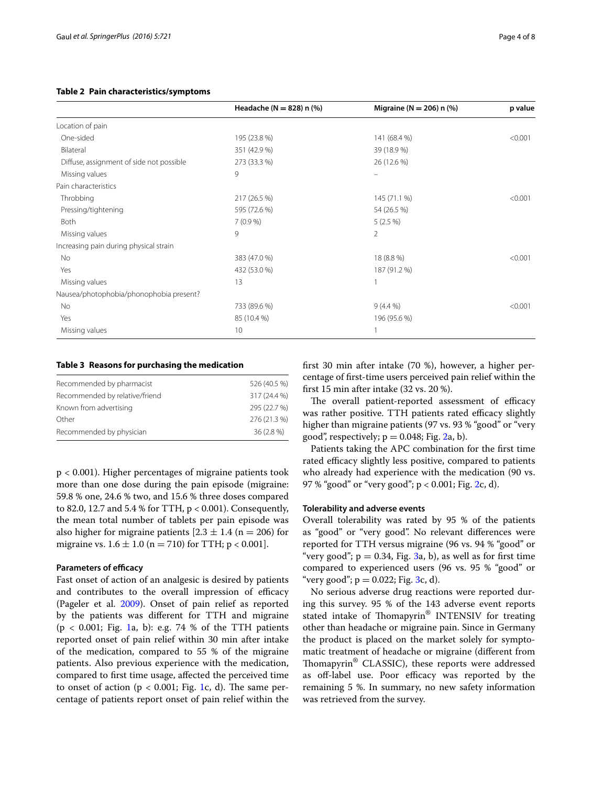## <span id="page-3-0"></span>**Table 2 Pain characteristics/symptoms**

|                                          | Headache ( $N = 828$ ) n (%) | Migraine ( $N = 206$ ) n (%) | p value |
|------------------------------------------|------------------------------|------------------------------|---------|
| Location of pain                         |                              |                              |         |
| One-sided                                | 195 (23.8 %)                 | 141 (68.4 %)                 | < 0.001 |
| Bilateral                                | 351 (42.9 %)                 | 39 (18.9 %)                  |         |
| Diffuse, assignment of side not possible | 273 (33.3 %)                 | 26 (12.6 %)                  |         |
| Missing values                           | 9                            |                              |         |
| Pain characteristics                     |                              |                              |         |
| Throbbing                                | 217 (26.5 %)                 | 145 (71.1 %)                 | < 0.001 |
| Pressing/tightening                      | 595 (72.6 %)                 | 54 (26.5 %)                  |         |
| Both                                     | 7(0.9%                       | $5(2.5\%)$                   |         |
| Missing values                           | 9                            | 2                            |         |
| Increasing pain during physical strain   |                              |                              |         |
| No                                       | 383 (47.0 %)                 | 18 (8.8 %)                   | < 0.001 |
| Yes                                      | 432 (53.0 %)                 | 187 (91.2 %)                 |         |
| Missing values                           | 13                           |                              |         |
| Nausea/photophobia/phonophobia present?  |                              |                              |         |
| No                                       | 733 (89.6 %)                 | $9(4.4\%)$                   | < 0.001 |
| Yes                                      | 85 (10.4 %)                  | 196 (95.6 %)                 |         |
| Missing values                           | 10                           |                              |         |

#### <span id="page-3-1"></span>**Table 3 Reasons for purchasing the medication**

| Recommended by pharmacist      | 526 (40.5 %) |
|--------------------------------|--------------|
| Recommended by relative/friend | 317 (24.4 %) |
| Known from advertising         | 295 (22.7 %) |
| Other                          | 276 (21.3 %) |
| Recommended by physician       | 36 (2.8 %)   |

p < 0.001). Higher percentages of migraine patients took more than one dose during the pain episode (migraine: 59.8 % one, 24.6 % two, and 15.6 % three doses compared to 82.0, 12.7 and 5.4 % for TTH, p < 0.001). Consequently, the mean total number of tablets per pain episode was also higher for migraine patients  $[2.3 \pm 1.4$  (n = 206) for migraine vs.  $1.6 \pm 1.0$  (n = 710) for TTH; p < 0.001].

## **Parameters of efficacy**

Fast onset of action of an analgesic is desired by patients and contributes to the overall impression of efficacy (Pageler et al. [2009\)](#page-7-9). Onset of pain relief as reported by the patients was different for TTH and migraine  $(p < 0.001;$  $(p < 0.001;$  $(p < 0.001;$  Fig. 1a, b): e.g. 74 % of the TTH patients reported onset of pain relief within 30 min after intake of the medication, compared to 55 % of the migraine patients. Also previous experience with the medication, compared to first time usage, affected the perceived time to onset of action ( $p < 0.001$ ; Fig. [1c](#page-4-0), d). The same percentage of patients report onset of pain relief within the first 30 min after intake (70 %), however, a higher percentage of first-time users perceived pain relief within the first 15 min after intake (32 vs. 20 %).

The overall patient-reported assessment of efficacy was rather positive. TTH patients rated efficacy slightly higher than migraine patients (97 vs. 93 % "good" or "very good", respectively;  $p = 0.048$ ; Fig. [2a](#page-5-0), b).

Patients taking the APC combination for the first time rated efficacy slightly less positive, compared to patients who already had experience with the medication (90 vs. 97 % "good" or "very good"; p < 0.001; Fig. [2c](#page-5-0), d).

## **Tolerability and adverse events**

Overall tolerability was rated by 95 % of the patients as "good" or "very good". No relevant differences were reported for TTH versus migraine (96 vs. 94 % "good" or "very good";  $p = 0.34$  $p = 0.34$  $p = 0.34$ , Fig. 3a, b), as well as for first time compared to experienced users (96 vs. 95 % "good" or "very good";  $p = 0.022$ ; Fig. [3c](#page-6-0), d).

No serious adverse drug reactions were reported during this survey. 95 % of the 143 adverse event reports stated intake of Thomapyrin<sup>®</sup> INTENSIV for treating other than headache or migraine pain. Since in Germany the product is placed on the market solely for symptomatic treatment of headache or migraine (different from Thomapyrin® CLASSIC), these reports were addressed as off-label use. Poor efficacy was reported by the remaining 5 %. In summary, no new safety information was retrieved from the survey.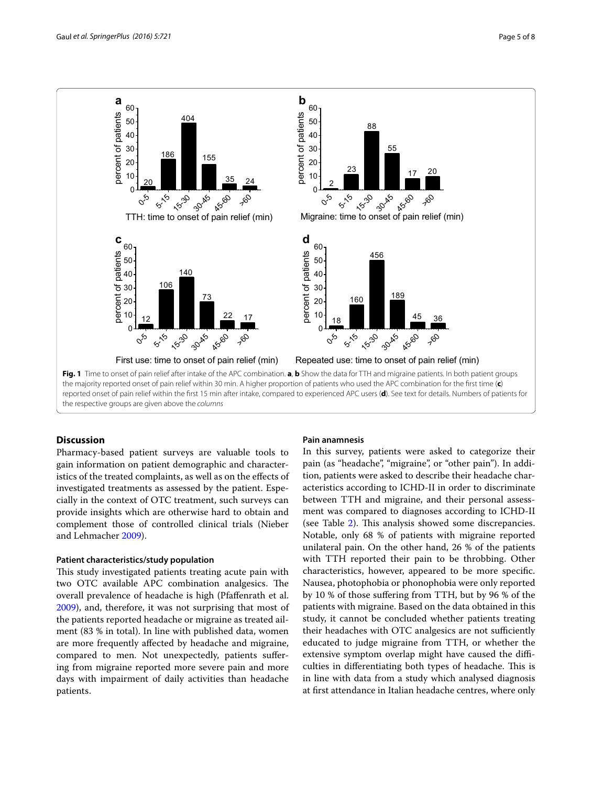

## <span id="page-4-0"></span>**Discussion**

Pharmacy-based patient surveys are valuable tools to gain information on patient demographic and characteristics of the treated complaints, as well as on the effects of investigated treatments as assessed by the patient. Especially in the context of OTC treatment, such surveys can provide insights which are otherwise hard to obtain and complement those of controlled clinical trials (Nieber and Lehmacher [2009](#page-7-10)).

### **Patient characteristics/study population**

This study investigated patients treating acute pain with two OTC available APC combination analgesics. The overall prevalence of headache is high (Pfaffenrath et al. [2009](#page-7-11)), and, therefore, it was not surprising that most of the patients reported headache or migraine as treated ailment (83 % in total). In line with published data, women are more frequently affected by headache and migraine, compared to men. Not unexpectedly, patients suffering from migraine reported more severe pain and more days with impairment of daily activities than headache patients.

#### **Pain anamnesis**

In this survey, patients were asked to categorize their pain (as "headache", "migraine", or "other pain"). In addition, patients were asked to describe their headache characteristics according to ICHD-II in order to discriminate between TTH and migraine, and their personal assessment was compared to diagnoses according to ICHD-II (see Table [2](#page-3-0)). This analysis showed some discrepancies. Notable, only 68 % of patients with migraine reported unilateral pain. On the other hand, 26 % of the patients with TTH reported their pain to be throbbing. Other characteristics, however, appeared to be more specific. Nausea, photophobia or phonophobia were only reported by 10 % of those suffering from TTH, but by 96 % of the patients with migraine. Based on the data obtained in this study, it cannot be concluded whether patients treating their headaches with OTC analgesics are not sufficiently educated to judge migraine from TTH, or whether the extensive symptom overlap might have caused the difficulties in differentiating both types of headache. This is in line with data from a study which analysed diagnosis at first attendance in Italian headache centres, where only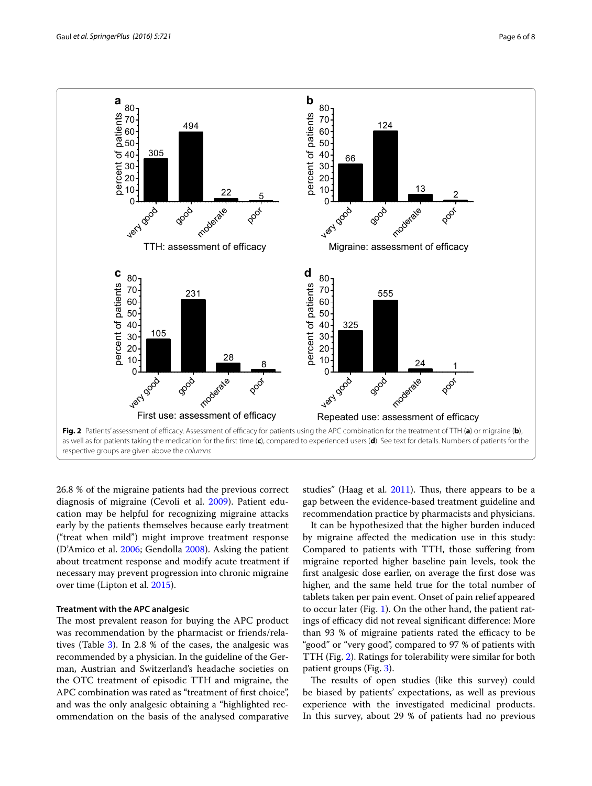

<span id="page-5-0"></span>26.8 % of the migraine patients had the previous correct diagnosis of migraine (Cevoli et al. [2009](#page-7-12)). Patient education may be helpful for recognizing migraine attacks early by the patients themselves because early treatment ("treat when mild") might improve treatment response (D'Amico et al. [2006;](#page-7-13) Gendolla [2008](#page-7-14)). Asking the patient about treatment response and modify acute treatment if necessary may prevent progression into chronic migraine over time (Lipton et al. [2015\)](#page-7-15).

### **Treatment with the APC analgesic**

The most prevalent reason for buying the APC product was recommendation by the pharmacist or friends/relatives (Table [3](#page-3-1)). In 2.8 % of the cases, the analgesic was recommended by a physician. In the guideline of the German, Austrian and Switzerland's headache societies on the OTC treatment of episodic TTH and migraine, the APC combination was rated as "treatment of first choice", and was the only analgesic obtaining a "highlighted recommendation on the basis of the analysed comparative studies" (Haag et al. [2011\)](#page-7-8). Thus, there appears to be a gap between the evidence-based treatment guideline and recommendation practice by pharmacists and physicians.

It can be hypothesized that the higher burden induced by migraine affected the medication use in this study: Compared to patients with TTH, those suffering from migraine reported higher baseline pain levels, took the first analgesic dose earlier, on average the first dose was higher, and the same held true for the total number of tablets taken per pain event. Onset of pain relief appeared to occur later (Fig. [1\)](#page-4-0). On the other hand, the patient ratings of efficacy did not reveal significant difference: More than 93 % of migraine patients rated the efficacy to be "good" or "very good", compared to 97 % of patients with TTH (Fig. [2\)](#page-5-0). Ratings for tolerability were similar for both patient groups (Fig. [3](#page-6-0)).

The results of open studies (like this survey) could be biased by patients' expectations, as well as previous experience with the investigated medicinal products. In this survey, about 29 % of patients had no previous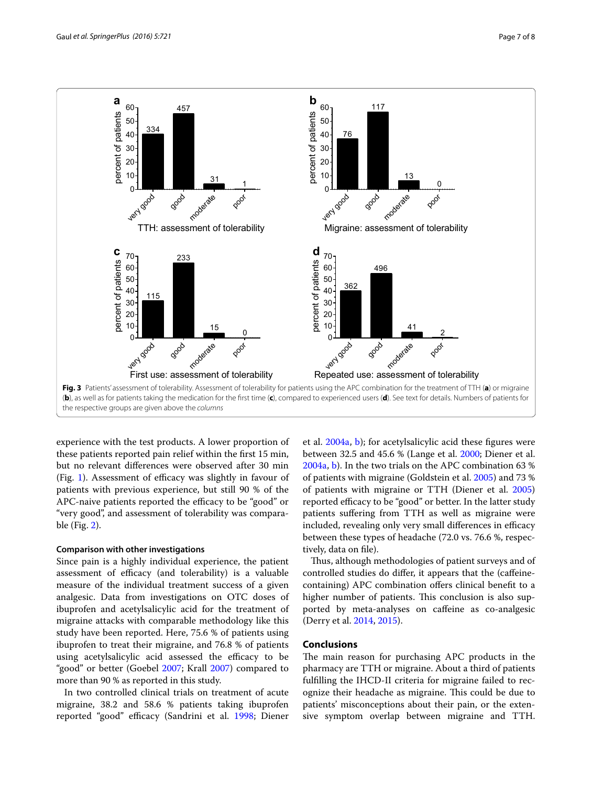

<span id="page-6-0"></span>experience with the test products. A lower proportion of these patients reported pain relief within the first 15 min, but no relevant differences were observed after 30 min (Fig. [1](#page-4-0)). Assessment of efficacy was slightly in favour of patients with previous experience, but still 90 % of the APC-naive patients reported the efficacy to be "good" or "very good", and assessment of tolerability was comparable (Fig. [2](#page-5-0)).

### **Comparison with other investigations**

Since pain is a highly individual experience, the patient assessment of efficacy (and tolerability) is a valuable measure of the individual treatment success of a given analgesic. Data from investigations on OTC doses of ibuprofen and acetylsalicylic acid for the treatment of migraine attacks with comparable methodology like this study have been reported. Here, 75.6 % of patients using ibuprofen to treat their migraine, and 76.8 % of patients using acetylsalicylic acid assessed the efficacy to be "good" or better (Goebel [2007;](#page-7-16) Krall [2007](#page-7-17)) compared to more than 90 % as reported in this study.

In two controlled clinical trials on treatment of acute migraine, 38.2 and 58.6 % patients taking ibuprofen reported "good" efficacy (Sandrini et al. [1998](#page-7-18); Diener et al. [2004a](#page-7-19), [b](#page-7-20)); for acetylsalicylic acid these figures were between 32.5 and 45.6 % (Lange et al. [2000;](#page-7-21) Diener et al. [2004a](#page-7-19), [b\)](#page-7-20). In the two trials on the APC combination 63 % of patients with migraine (Goldstein et al. [2005](#page-7-5)) and 73 % of patients with migraine or TTH (Diener et al. [2005](#page-7-4)) reported efficacy to be "good" or better. In the latter study patients suffering from TTH as well as migraine were included, revealing only very small differences in efficacy between these types of headache (72.0 vs. 76.6 %, respectively, data on file).

Thus, although methodologies of patient surveys and of controlled studies do differ, it appears that the (caffeinecontaining) APC combination offers clinical benefit to a higher number of patients. This conclusion is also supported by meta-analyses on caffeine as co-analgesic (Derry et al. [2014,](#page-7-22) [2015\)](#page-7-23).

## **Conclusions**

The main reason for purchasing APC products in the pharmacy are TTH or migraine. About a third of patients fulfilling the IHCD-II criteria for migraine failed to recognize their headache as migraine. This could be due to patients' misconceptions about their pain, or the extensive symptom overlap between migraine and TTH.